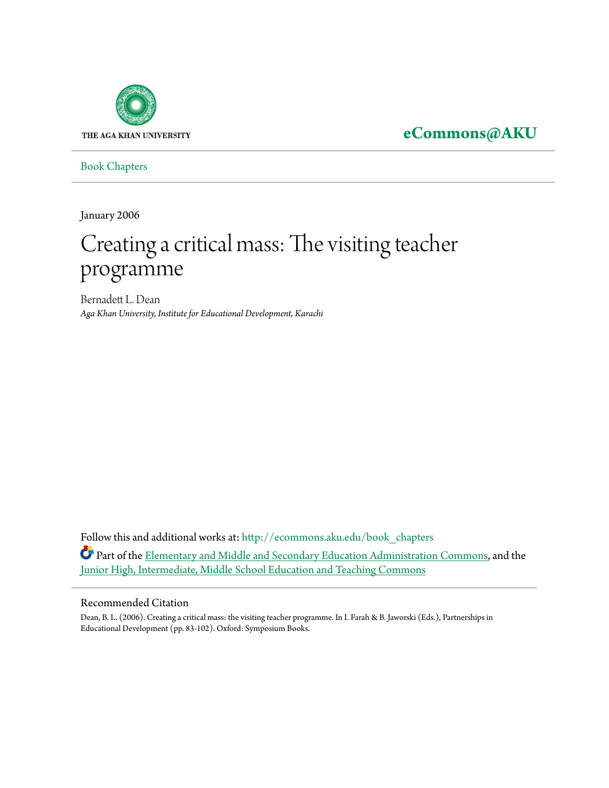

**[eCommons@AKU](http://ecommons.aku.edu?utm_source=ecommons.aku.edu%2Fbook_chapters%2F23&utm_medium=PDF&utm_campaign=PDFCoverPages)**

[Book Chapters](http://ecommons.aku.edu/book_chapters?utm_source=ecommons.aku.edu%2Fbook_chapters%2F23&utm_medium=PDF&utm_campaign=PDFCoverPages)

January 2006

# Creating a critical mass: The visiting teacher programme

Bernadett L. Dean *Aga Khan University, Institute for Educational Development, Karachi*

Follow this and additional works at: [http://ecommons.aku.edu/book\\_chapters](http://ecommons.aku.edu/book_chapters?utm_source=ecommons.aku.edu%2Fbook_chapters%2F23&utm_medium=PDF&utm_campaign=PDFCoverPages) Part of the [Elementary and Middle and Secondary Education Administration Commons,](http://network.bepress.com/hgg/discipline/790?utm_source=ecommons.aku.edu%2Fbook_chapters%2F23&utm_medium=PDF&utm_campaign=PDFCoverPages) and the [Junior High, Intermediate, Middle School Education and Teaching Commons](http://network.bepress.com/hgg/discipline/807?utm_source=ecommons.aku.edu%2Fbook_chapters%2F23&utm_medium=PDF&utm_campaign=PDFCoverPages)

# Recommended Citation

Dean, B. L. (2006). Creating a critical mass: the visiting teacher programme. In I. Farah & B. Jaworski (Eds.), Partnerships in Educational Development (pp. 83-102). Oxford: Symposium Books.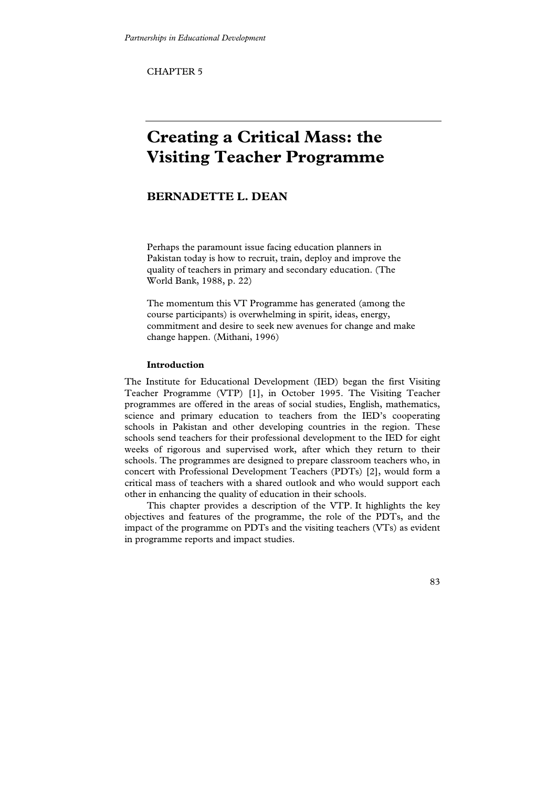CHAPTER 5

# **Creating a Critical Mass: the Visiting Teacher Programme**

# **BERNADETTE L. DEAN**

Perhaps the paramount issue facing education planners in Pakistan today is how to recruit, train, deploy and improve the quality of teachers in primary and secondary education. (The World Bank, 1988, p. 22)

The momentum this VT Programme has generated (among the course participants) is overwhelming in spirit, ideas, energy, commitment and desire to seek new avenues for change and make change happen. (Mithani, 1996)

## **Introduction**

The Institute for Educational Development (IED) began the first Visiting Teacher Programme (VTP) [1], in October 1995. The Visiting Teacher programmes are offered in the areas of social studies, English, mathematics, science and primary education to teachers from the IED's cooperating schools in Pakistan and other developing countries in the region. These schools send teachers for their professional development to the IED for eight weeks of rigorous and supervised work, after which they return to their schools. The programmes are designed to prepare classroom teachers who, in concert with Professional Development Teachers (PDTs) [2], would form a critical mass of teachers with a shared outlook and who would support each other in enhancing the quality of education in their schools.

This chapter provides a description of the VTP. It highlights the key objectives and features of the programme, the role of the PDTs, and the impact of the programme on PDTs and the visiting teachers (VTs) as evident in programme reports and impact studies.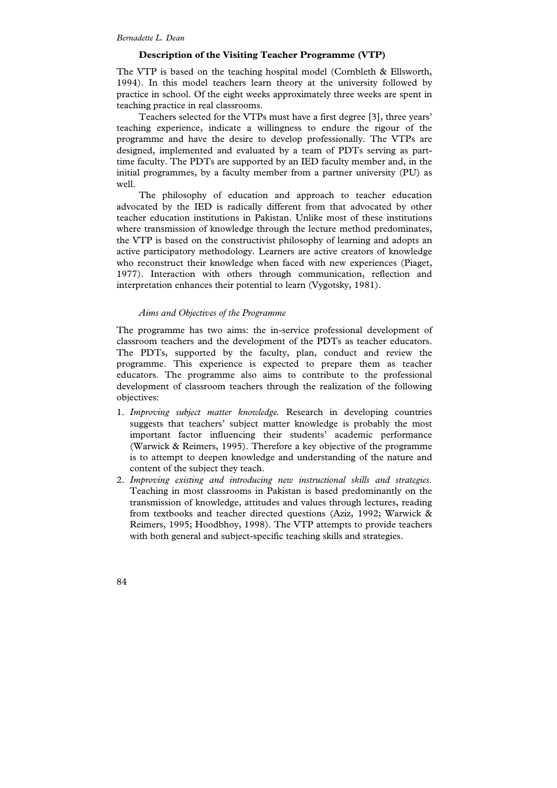# **Description of the Visiting Teacher Programme (VTP)**

The VTP is based on the teaching hospital model (Cornbleth & Ellsworth, 1994). In this model teachers learn theory at the university followed by practice in school. Of the eight weeks approximately three weeks are spent in teaching practice in real classrooms.

Teachers selected for the VTPs must have a first degree [3], three years' teaching experience, indicate a willingness to endure the rigour of the programme and have the desire to develop professionally. The VTPs are designed, implemented and evaluated by a team of PDTs serving as parttime faculty. The PDTs are supported by an IED faculty member and, in the initial programmes, by a faculty member from a partner university (PU) as well.

The philosophy of education and approach to teacher education advocated by the IED is radically different from that advocated by other teacher education institutions in Pakistan. Unlike most of these institutions where transmission of knowledge through the lecture method predominates, the VTP is based on the constructivist philosophy of learning and adopts an active participatory methodology. Learners are active creators of knowledge who reconstruct their knowledge when faced with new experiences (Piaget, 1977). Interaction with others through communication, reflection and interpretation enhances their potential to learn (Vygotsky, 1981).

#### *Aims and Objectives of the Programme*

The programme has two aims: the in-service professional development of classroom teachers and the development of the PDTs as teacher educators. The PDTs, supported by the faculty, plan, conduct and review the programme. This experience is expected to prepare them as teacher educators. The programme also aims to contribute to the professional development of classroom teachers through the realization of the following objectives:

- 1. *Improving subject matter knowledge.* Research in developing countries suggests that teachers' subject matter knowledge is probably the most important factor influencing their students' academic performance (Warwick & Reimers, 1995). Therefore a key objective of the programme is to attempt to deepen knowledge and understanding of the nature and content of the subject they teach.
- 2. *Improving existing and introducing new instructional skills and strategies.*  Teaching in most classrooms in Pakistan is based predominantly on the transmission of knowledge, attitudes and values through lectures, reading from textbooks and teacher directed questions (Aziz, 1992; Warwick & Reimers, 1995; Hoodbhoy, 1998). The VTP attempts to provide teachers with both general and subject-specific teaching skills and strategies.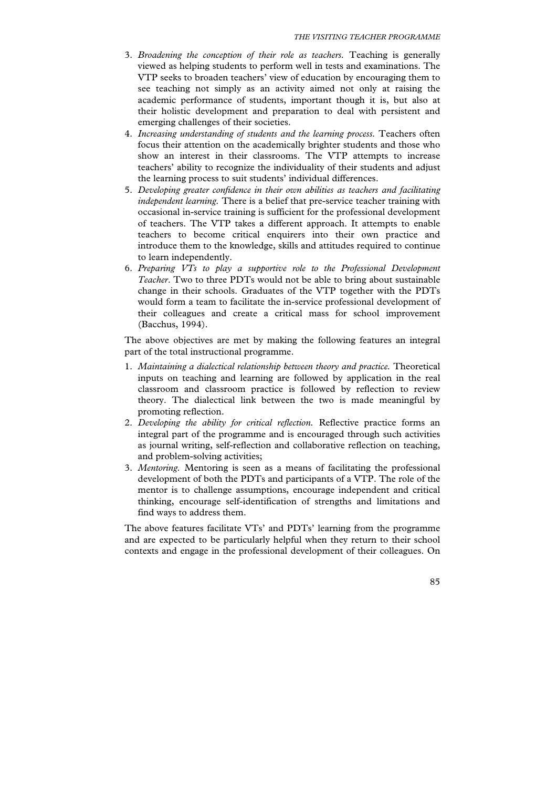- 3. *Broadening the conception of their role as teachers.* Teaching is generally viewed as helping students to perform well in tests and examinations. The VTP seeks to broaden teachers' view of education by encouraging them to see teaching not simply as an activity aimed not only at raising the academic performance of students, important though it is, but also at their holistic development and preparation to deal with persistent and emerging challenges of their societies.
- 4. *Increasing understanding of students and the learning process.* Teachers often focus their attention on the academically brighter students and those who show an interest in their classrooms. The VTP attempts to increase teachers' ability to recognize the individuality of their students and adjust the learning process to suit students' individual differences.
- 5. *Developing greater confidence in their own abilities as teachers and facilitating independent learning.* There is a belief that pre-service teacher training with occasional in-service training is sufficient for the professional development of teachers. The VTP takes a different approach. It attempts to enable teachers to become critical enquirers into their own practice and introduce them to the knowledge, skills and attitudes required to continue to learn independently.
- 6. *Preparing VTs to play a supportive role to the Professional Development Teacher*. Two to three PDTs would not be able to bring about sustainable change in their schools. Graduates of the VTP together with the PDTs would form a team to facilitate the in-service professional development of their colleagues and create a critical mass for school improvement (Bacchus, 1994).

The above objectives are met by making the following features an integral part of the total instructional programme.

- 1. *Maintaining a dialectical relationship between theory and practice.* Theoretical inputs on teaching and learning are followed by application in the real classroom and classroom practice is followed by reflection to review theory. The dialectical link between the two is made meaningful by promoting reflection.
- 2. *Developing the ability for critical reflection.* Reflective practice forms an integral part of the programme and is encouraged through such activities as journal writing, self-reflection and collaborative reflection on teaching, and problem-solving activities;
- 3. *Mentoring.* Mentoring is seen as a means of facilitating the professional development of both the PDTs and participants of a VTP. The role of the mentor is to challenge assumptions, encourage independent and critical thinking, encourage self-identification of strengths and limitations and find ways to address them.

The above features facilitate VTs' and PDTs' learning from the programme and are expected to be particularly helpful when they return to their school contexts and engage in the professional development of their colleagues. On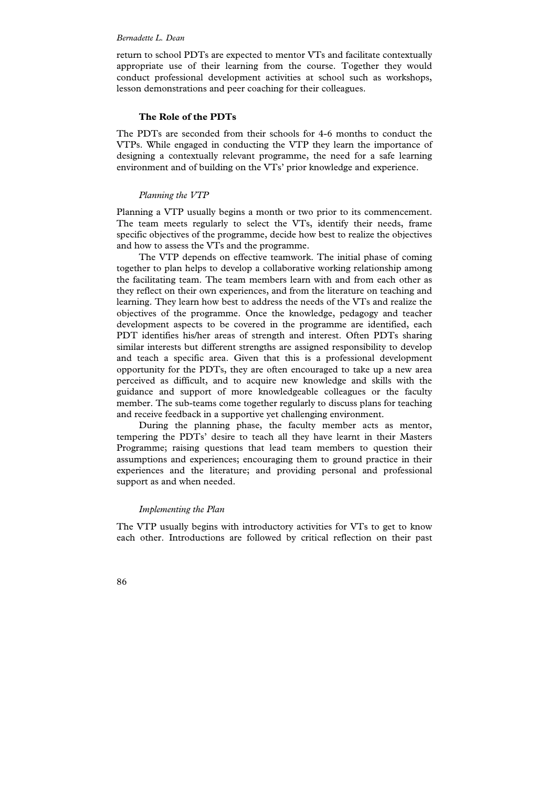return to school PDTs are expected to mentor VTs and facilitate contextually appropriate use of their learning from the course. Together they would conduct professional development activities at school such as workshops, lesson demonstrations and peer coaching for their colleagues.

## **The Role of the PDTs**

The PDTs are seconded from their schools for 4-6 months to conduct the VTPs. While engaged in conducting the VTP they learn the importance of designing a contextually relevant programme, the need for a safe learning environment and of building on the VTs' prior knowledge and experience.

#### *Planning the VTP*

Planning a VTP usually begins a month or two prior to its commencement. The team meets regularly to select the VTs, identify their needs, frame specific objectives of the programme, decide how best to realize the objectives and how to assess the VTs and the programme.

The VTP depends on effective teamwork. The initial phase of coming together to plan helps to develop a collaborative working relationship among the facilitating team. The team members learn with and from each other as they reflect on their own experiences, and from the literature on teaching and learning. They learn how best to address the needs of the VTs and realize the objectives of the programme. Once the knowledge, pedagogy and teacher development aspects to be covered in the programme are identified, each PDT identifies his/her areas of strength and interest. Often PDTs sharing similar interests but different strengths are assigned responsibility to develop and teach a specific area. Given that this is a professional development opportunity for the PDTs, they are often encouraged to take up a new area perceived as difficult, and to acquire new knowledge and skills with the guidance and support of more knowledgeable colleagues or the faculty member. The sub-teams come together regularly to discuss plans for teaching and receive feedback in a supportive yet challenging environment.

During the planning phase, the faculty member acts as mentor, tempering the PDTs' desire to teach all they have learnt in their Masters Programme; raising questions that lead team members to question their assumptions and experiences; encouraging them to ground practice in their experiences and the literature; and providing personal and professional support as and when needed.

#### *Implementing the Plan*

The VTP usually begins with introductory activities for VTs to get to know each other. Introductions are followed by critical reflection on their past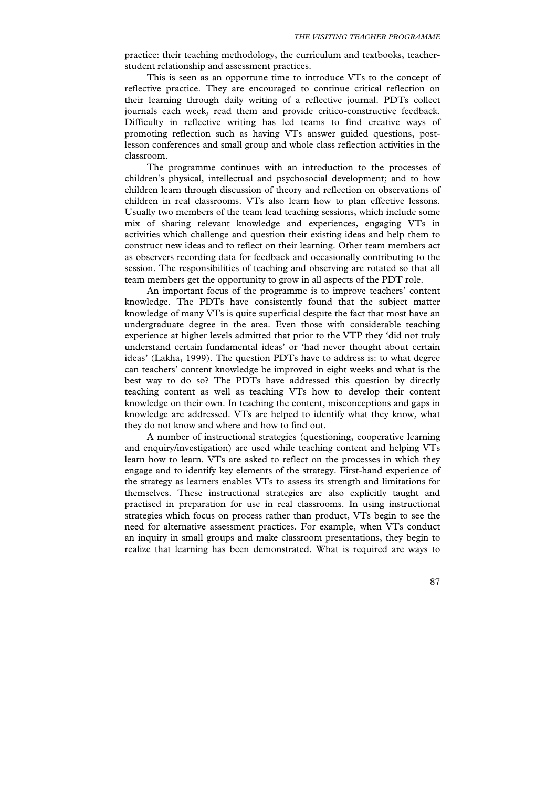practice: their teaching methodology, the curriculum and textbooks, teacherstudent relationship and assessment practices.

This is seen as an opportune time to introduce VTs to the concept of reflective practice. They are encouraged to continue critical reflection on their learning through daily writing of a reflective journal. PDTs collect journals each week, read them and provide critico-constructive feedback. Difficulty in reflective writing has led teams to find creative ways of promoting reflection such as having VTs answer guided questions, postlesson conferences and small group and whole class reflection activities in the classroom.

The programme continues with an introduction to the processes of children's physical, intellectual and psychosocial development; and to how children learn through discussion of theory and reflection on observations of children in real classrooms. VTs also learn how to plan effective lessons. Usually two members of the team lead teaching sessions, which include some mix of sharing relevant knowledge and experiences, engaging VTs in activities which challenge and question their existing ideas and help them to construct new ideas and to reflect on their learning. Other team members act as observers recording data for feedback and occasionally contributing to the session. The responsibilities of teaching and observing are rotated so that all team members get the opportunity to grow in all aspects of the PDT role.

An important focus of the programme is to improve teachers' content knowledge. The PDTs have consistently found that the subject matter knowledge of many VTs is quite superficial despite the fact that most have an undergraduate degree in the area. Even those with considerable teaching experience at higher levels admitted that prior to the VTP they 'did not truly understand certain fundamental ideas' or 'had never thought about certain ideas' (Lakha, 1999). The question PDTs have to address is: to what degree can teachers' content knowledge be improved in eight weeks and what is the best way to do so? The PDTs have addressed this question by directly teaching content as well as teaching VTs how to develop their content knowledge on their own. In teaching the content, misconceptions and gaps in knowledge are addressed. VTs are helped to identify what they know, what they do not know and where and how to find out.

A number of instructional strategies (questioning, cooperative learning and enquiry/investigation) are used while teaching content and helping VTs learn how to learn. VTs are asked to reflect on the processes in which they engage and to identify key elements of the strategy. First-hand experience of the strategy as learners enables VTs to assess its strength and limitations for themselves. These instructional strategies are also explicitly taught and practised in preparation for use in real classrooms. In using instructional strategies which focus on process rather than product, VTs begin to see the need for alternative assessment practices. For example, when VTs conduct an inquiry in small groups and make classroom presentations, they begin to realize that learning has been demonstrated. What is required are ways to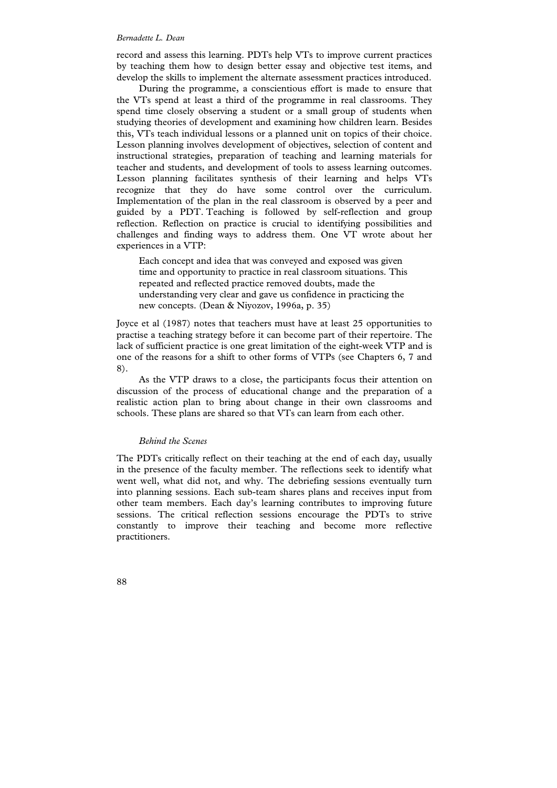record and assess this learning. PDTs help VTs to improve current practices by teaching them how to design better essay and objective test items, and develop the skills to implement the alternate assessment practices introduced.

During the programme, a conscientious effort is made to ensure that the VTs spend at least a third of the programme in real classrooms. They spend time closely observing a student or a small group of students when studying theories of development and examining how children learn. Besides this, VTs teach individual lessons or a planned unit on topics of their choice. Lesson planning involves development of objectives, selection of content and instructional strategies, preparation of teaching and learning materials for teacher and students, and development of tools to assess learning outcomes. Lesson planning facilitates synthesis of their learning and helps VTs recognize that they do have some control over the curriculum. Implementation of the plan in the real classroom is observed by a peer and guided by a PDT. Teaching is followed by self-reflection and group reflection. Reflection on practice is crucial to identifying possibilities and challenges and finding ways to address them. One VT wrote about her experiences in a VTP:

Each concept and idea that was conveyed and exposed was given time and opportunity to practice in real classroom situations. This repeated and reflected practice removed doubts, made the understanding very clear and gave us confidence in practicing the new concepts. (Dean & Niyozov, 1996a, p. 35)

Joyce et al (1987) notes that teachers must have at least 25 opportunities to practise a teaching strategy before it can become part of their repertoire. The lack of sufficient practice is one great limitation of the eight-week VTP and is one of the reasons for a shift to other forms of VTPs (see Chapters 6, 7 and 8).

As the VTP draws to a close, the participants focus their attention on discussion of the process of educational change and the preparation of a realistic action plan to bring about change in their own classrooms and schools. These plans are shared so that VTs can learn from each other.

#### *Behind the Scenes*

The PDTs critically reflect on their teaching at the end of each day, usually in the presence of the faculty member. The reflections seek to identify what went well, what did not, and why. The debriefing sessions eventually turn into planning sessions. Each sub-team shares plans and receives input from other team members. Each day's learning contributes to improving future sessions. The critical reflection sessions encourage the PDTs to strive constantly to improve their teaching and become more reflective practitioners.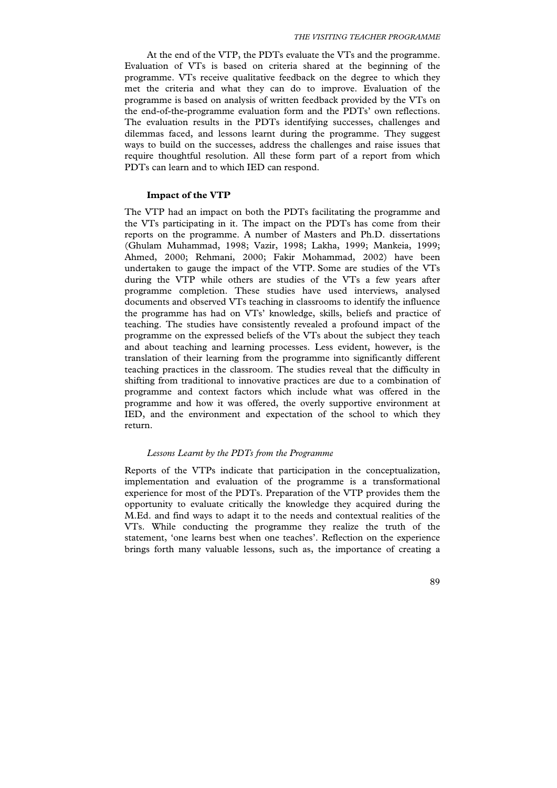At the end of the VTP, the PDTs evaluate the VTs and the programme. Evaluation of VTs is based on criteria shared at the beginning of the programme. VTs receive qualitative feedback on the degree to which they met the criteria and what they can do to improve. Evaluation of the programme is based on analysis of written feedback provided by the VTs on the end-of-the-programme evaluation form and the PDTs' own reflections. The evaluation results in the PDTs identifying successes, challenges and dilemmas faced, and lessons learnt during the programme. They suggest ways to build on the successes, address the challenges and raise issues that require thoughtful resolution. All these form part of a report from which PDTs can learn and to which IED can respond.

#### **Impact of the VTP**

The VTP had an impact on both the PDTs facilitating the programme and the VTs participating in it. The impact on the PDTs has come from their reports on the programme. A number of Masters and Ph.D. dissertations (Ghulam Muhammad, 1998; Vazir, 1998; Lakha, 1999; Mankeia, 1999; Ahmed, 2000; Rehmani, 2000; Fakir Mohammad, 2002) have been undertaken to gauge the impact of the VTP. Some are studies of the VTs during the VTP while others are studies of the VTs a few years after programme completion. These studies have used interviews, analysed documents and observed VTs teaching in classrooms to identify the influence the programme has had on VTs' knowledge, skills, beliefs and practice of teaching. The studies have consistently revealed a profound impact of the programme on the expressed beliefs of the VTs about the subject they teach and about teaching and learning processes. Less evident, however, is the translation of their learning from the programme into significantly different teaching practices in the classroom. The studies reveal that the difficulty in shifting from traditional to innovative practices are due to a combination of programme and context factors which include what was offered in the programme and how it was offered, the overly supportive environment at IED, and the environment and expectation of the school to which they return.

#### *Lessons Learnt by the PDTs from the Programme*

Reports of the VTPs indicate that participation in the conceptualization, implementation and evaluation of the programme is a transformational experience for most of the PDTs. Preparation of the VTP provides them the opportunity to evaluate critically the knowledge they acquired during the M.Ed. and find ways to adapt it to the needs and contextual realities of the VTs. While conducting the programme they realize the truth of the statement, 'one learns best when one teaches'. Reflection on the experience brings forth many valuable lessons, such as, the importance of creating a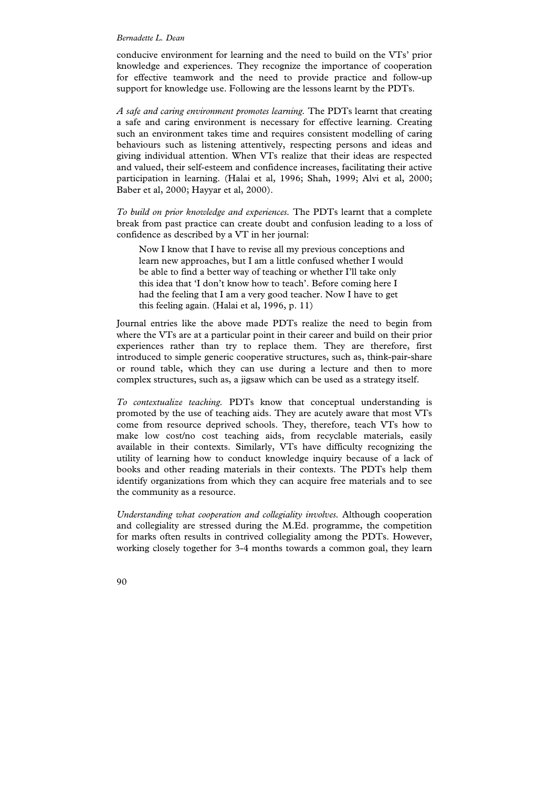conducive environment for learning and the need to build on the VTs' prior knowledge and experiences. They recognize the importance of cooperation for effective teamwork and the need to provide practice and follow-up support for knowledge use. Following are the lessons learnt by the PDTs.

*A safe and caring environment promotes learning.* The PDTs learnt that creating a safe and caring environment is necessary for effective learning. Creating such an environment takes time and requires consistent modelling of caring behaviours such as listening attentively, respecting persons and ideas and giving individual attention. When VTs realize that their ideas are respected and valued, their self-esteem and confidence increases, facilitating their active participation in learning. (Halai et al, 1996; Shah, 1999; Alvi et al, 2000; Baber et al, 2000; Hayyar et al, 2000).

*To build on prior knowledge and experiences.* The PDTs learnt that a complete break from past practice can create doubt and confusion leading to a loss of confidence as described by a VT in her journal:

Now I know that I have to revise all my previous conceptions and learn new approaches, but I am a little confused whether I would be able to find a better way of teaching or whether I'll take only this idea that 'I don't know how to teach'. Before coming here I had the feeling that I am a very good teacher. Now I have to get this feeling again. (Halai et al, 1996, p. 11)

Journal entries like the above made PDTs realize the need to begin from where the VTs are at a particular point in their career and build on their prior experiences rather than try to replace them. They are therefore, first introduced to simple generic cooperative structures, such as, think-pair-share or round table, which they can use during a lecture and then to more complex structures, such as, a jigsaw which can be used as a strategy itself.

*To contextualize teaching.* PDTs know that conceptual understanding is promoted by the use of teaching aids. They are acutely aware that most VTs come from resource deprived schools. They, therefore, teach VTs how to make low cost/no cost teaching aids, from recyclable materials, easily available in their contexts. Similarly, VTs have difficulty recognizing the utility of learning how to conduct knowledge inquiry because of a lack of books and other reading materials in their contexts. The PDTs help them identify organizations from which they can acquire free materials and to see the community as a resource.

*Understanding what cooperation and collegiality involves.* Although cooperation and collegiality are stressed during the M.Ed. programme, the competition for marks often results in contrived collegiality among the PDTs. However, working closely together for 3-4 months towards a common goal, they learn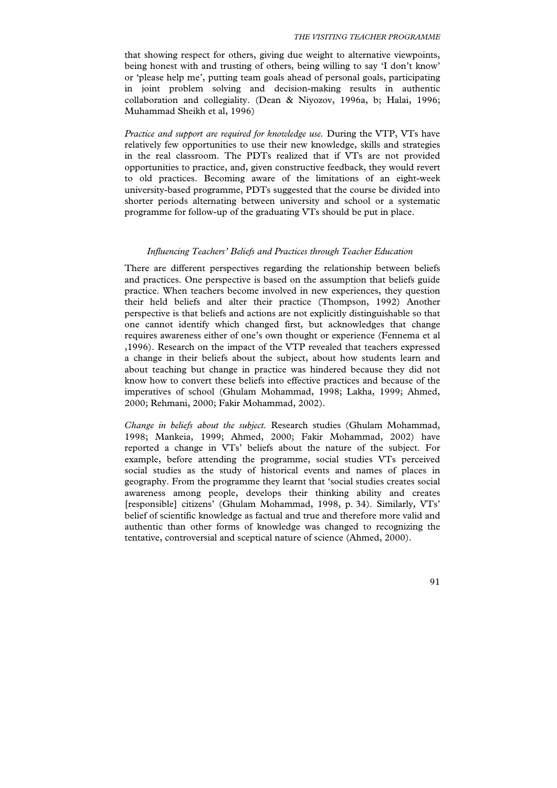that showing respect for others, giving due weight to alternative viewpoints, being honest with and trusting of others, being willing to say 'I don't know' or 'please help me', putting team goals ahead of personal goals, participating in joint problem solving and decision-making results in authentic collaboration and collegiality. (Dean & Niyozov, 1996a, b; Halai, 1996; Muhammad Sheikh et al, 1996)

*Practice and support are required for knowledge use.* During the VTP, VTs have relatively few opportunities to use their new knowledge, skills and strategies in the real classroom. The PDTs realized that if VTs are not provided opportunities to practice, and, given constructive feedback, they would revert to old practices. Becoming aware of the limitations of an eight-week university-based programme, PDTs suggested that the course be divided into shorter periods alternating between university and school or a systematic programme for follow-up of the graduating VTs should be put in place.

#### *Influencing Teachers' Beliefs and Practices through Teacher Education*

There are different perspectives regarding the relationship between beliefs and practices. One perspective is based on the assumption that beliefs guide practice. When teachers become involved in new experiences, they question their held beliefs and alter their practice (Thompson, 1992) Another perspective is that beliefs and actions are not explicitly distinguishable so that one cannot identify which changed first, but acknowledges that change requires awareness either of one's own thought or experience (Fennema et al ,1996). Research on the impact of the VTP revealed that teachers expressed a change in their beliefs about the subject, about how students learn and about teaching but change in practice was hindered because they did not know how to convert these beliefs into effective practices and because of the imperatives of school (Ghulam Mohammad, 1998; Lakha, 1999; Ahmed, 2000; Rehmani, 2000; Fakir Mohammad, 2002).

*Change in beliefs about the subject.* Research studies (Ghulam Mohammad, 1998; Mankeia, 1999; Ahmed, 2000; Fakir Mohammad, 2002) have reported a change in VTs' beliefs about the nature of the subject. For example, before attending the programme, social studies VTs perceived social studies as the study of historical events and names of places in geography. From the programme they learnt that 'social studies creates social awareness among people, develops their thinking ability and creates [responsible] citizens' (Ghulam Mohammad, 1998, p. 34). Similarly, VTs' belief of scientific knowledge as factual and true and therefore more valid and authentic than other forms of knowledge was changed to recognizing the tentative, controversial and sceptical nature of science (Ahmed, 2000).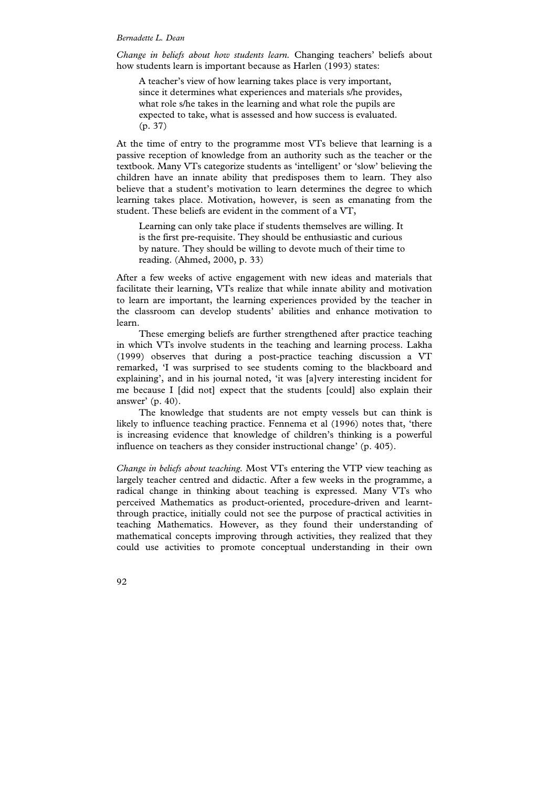*Change in beliefs about how students learn.* Changing teachers' beliefs about how students learn is important because as Harlen (1993) states:

A teacher's view of how learning takes place is very important, since it determines what experiences and materials s/he provides, what role s/he takes in the learning and what role the pupils are expected to take, what is assessed and how success is evaluated. (p. 37)

At the time of entry to the programme most VTs believe that learning is a passive reception of knowledge from an authority such as the teacher or the textbook. Many VTs categorize students as 'intelligent' or 'slow' believing the children have an innate ability that predisposes them to learn. They also believe that a student's motivation to learn determines the degree to which learning takes place. Motivation, however, is seen as emanating from the student. These beliefs are evident in the comment of a VT,

Learning can only take place if students themselves are willing. It is the first pre-requisite. They should be enthusiastic and curious by nature. They should be willing to devote much of their time to reading. (Ahmed, 2000, p. 33)

After a few weeks of active engagement with new ideas and materials that facilitate their learning, VTs realize that while innate ability and motivation to learn are important, the learning experiences provided by the teacher in the classroom can develop students' abilities and enhance motivation to learn.

These emerging beliefs are further strengthened after practice teaching in which VTs involve students in the teaching and learning process. Lakha (1999) observes that during a post-practice teaching discussion a VT remarked, 'I was surprised to see students coming to the blackboard and explaining', and in his journal noted, 'it was [a]very interesting incident for me because I [did not] expect that the students [could] also explain their answer' (p. 40).

The knowledge that students are not empty vessels but can think is likely to influence teaching practice. Fennema et al (1996) notes that, 'there is increasing evidence that knowledge of children's thinking is a powerful influence on teachers as they consider instructional change' (p. 405).

*Change in beliefs about teaching.* Most VTs entering the VTP view teaching as largely teacher centred and didactic. After a few weeks in the programme, a radical change in thinking about teaching is expressed. Many VTs who perceived Mathematics as product-oriented, procedure-driven and learntthrough practice, initially could not see the purpose of practical activities in teaching Mathematics. However, as they found their understanding of mathematical concepts improving through activities, they realized that they could use activities to promote conceptual understanding in their own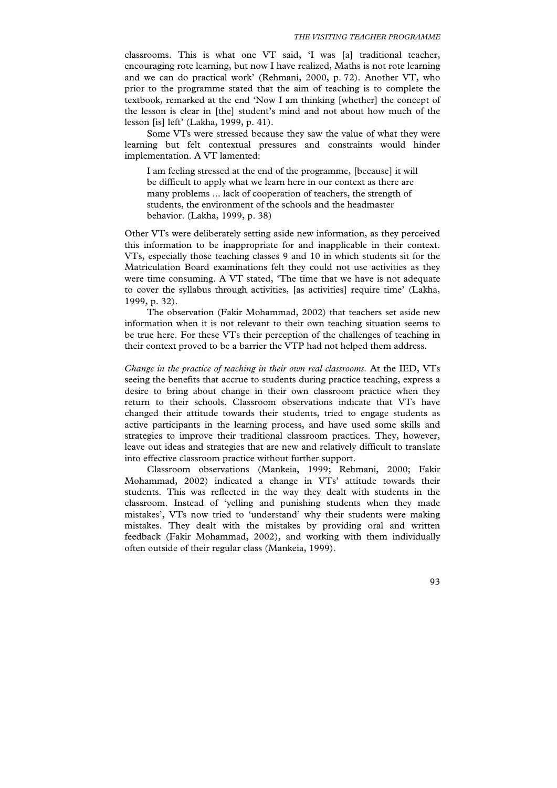classrooms. This is what one VT said, 'I was [a] traditional teacher, encouraging rote learning, but now I have realized, Maths is not rote learning and we can do practical work' (Rehmani, 2000, p. 72). Another VT, who prior to the programme stated that the aim of teaching is to complete the textbook, remarked at the end 'Now I am thinking [whether] the concept of the lesson is clear in [the] student's mind and not about how much of the lesson [is] left' (Lakha, 1999, p. 41).

Some VTs were stressed because they saw the value of what they were learning but felt contextual pressures and constraints would hinder implementation. A VT lamented:

I am feeling stressed at the end of the programme, [because] it will be difficult to apply what we learn here in our context as there are many problems ... lack of cooperation of teachers, the strength of students, the environment of the schools and the headmaster behavior. (Lakha, 1999, p. 38)

Other VTs were deliberately setting aside new information, as they perceived this information to be inappropriate for and inapplicable in their context. VTs, especially those teaching classes 9 and 10 in which students sit for the Matriculation Board examinations felt they could not use activities as they were time consuming. A VT stated, 'The time that we have is not adequate to cover the syllabus through activities, [as activities] require time' (Lakha, 1999, p. 32).

The observation (Fakir Mohammad, 2002) that teachers set aside new information when it is not relevant to their own teaching situation seems to be true here. For these VTs their perception of the challenges of teaching in their context proved to be a barrier the VTP had not helped them address.

*Change in the practice of teaching in their own real classrooms.* At the IED, VTs seeing the benefits that accrue to students during practice teaching, express a desire to bring about change in their own classroom practice when they return to their schools. Classroom observations indicate that VTs have changed their attitude towards their students, tried to engage students as active participants in the learning process, and have used some skills and strategies to improve their traditional classroom practices. They, however, leave out ideas and strategies that are new and relatively difficult to translate into effective classroom practice without further support.

Classroom observations (Mankeia, 1999; Rehmani, 2000; Fakir Mohammad, 2002) indicated a change in VTs' attitude towards their students. This was reflected in the way they dealt with students in the classroom. Instead of 'yelling and punishing students when they made mistakes', VTs now tried to 'understand' why their students were making mistakes. They dealt with the mistakes by providing oral and written feedback (Fakir Mohammad, 2002), and working with them individually often outside of their regular class (Mankeia, 1999).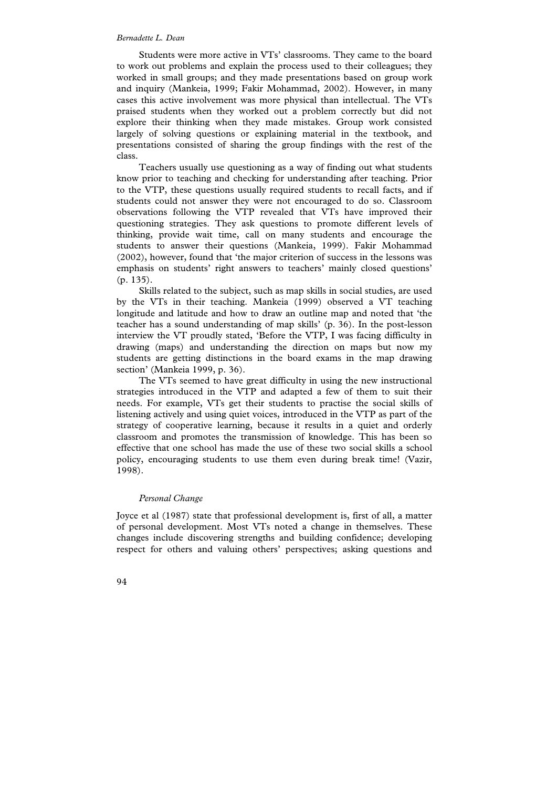Students were more active in VTs' classrooms. They came to the board to work out problems and explain the process used to their colleagues; they worked in small groups; and they made presentations based on group work and inquiry (Mankeia, 1999; Fakir Mohammad, 2002). However, in many cases this active involvement was more physical than intellectual. The VTs praised students when they worked out a problem correctly but did not explore their thinking when they made mistakes. Group work consisted largely of solving questions or explaining material in the textbook, and presentations consisted of sharing the group findings with the rest of the class.

Teachers usually use questioning as a way of finding out what students know prior to teaching and checking for understanding after teaching. Prior to the VTP, these questions usually required students to recall facts, and if students could not answer they were not encouraged to do so. Classroom observations following the VTP revealed that VTs have improved their questioning strategies. They ask questions to promote different levels of thinking, provide wait time, call on many students and encourage the students to answer their questions (Mankeia, 1999). Fakir Mohammad (2002), however, found that 'the major criterion of success in the lessons was emphasis on students' right answers to teachers' mainly closed questions' (p. 135).

Skills related to the subject, such as map skills in social studies, are used by the VTs in their teaching. Mankeia (1999) observed a VT teaching longitude and latitude and how to draw an outline map and noted that 'the teacher has a sound understanding of map skills' (p. 36). In the post-lesson interview the VT proudly stated, 'Before the VTP, I was facing difficulty in drawing (maps) and understanding the direction on maps but now my students are getting distinctions in the board exams in the map drawing section' (Mankeia 1999, p. 36).

The VTs seemed to have great difficulty in using the new instructional strategies introduced in the VTP and adapted a few of them to suit their needs. For example, VTs get their students to practise the social skills of listening actively and using quiet voices, introduced in the VTP as part of the strategy of cooperative learning, because it results in a quiet and orderly classroom and promotes the transmission of knowledge. This has been so effective that one school has made the use of these two social skills a school policy, encouraging students to use them even during break time! (Vazir, 1998).

#### *Personal Change*

Joyce et al (1987) state that professional development is, first of all, a matter of personal development. Most VTs noted a change in themselves. These changes include discovering strengths and building confidence; developing respect for others and valuing others' perspectives; asking questions and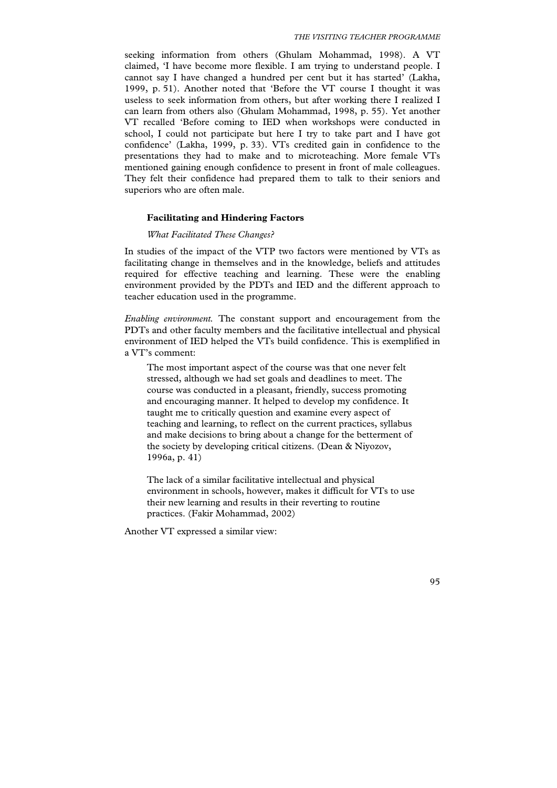seeking information from others (Ghulam Mohammad, 1998). A VT claimed, 'I have become more flexible. I am trying to understand people. I cannot say I have changed a hundred per cent but it has started' (Lakha, 1999, p. 51). Another noted that 'Before the VT course I thought it was useless to seek information from others, but after working there I realized I can learn from others also (Ghulam Mohammad, 1998, p. 55). Yet another VT recalled 'Before coming to IED when workshops were conducted in school, I could not participate but here I try to take part and I have got confidence' (Lakha, 1999, p. 33). VTs credited gain in confidence to the presentations they had to make and to microteaching. More female VTs mentioned gaining enough confidence to present in front of male colleagues. They felt their confidence had prepared them to talk to their seniors and superiors who are often male.

#### **Facilitating and Hindering Factors**

#### *What Facilitated These Changes?*

In studies of the impact of the VTP two factors were mentioned by VTs as facilitating change in themselves and in the knowledge, beliefs and attitudes required for effective teaching and learning. These were the enabling environment provided by the PDTs and IED and the different approach to teacher education used in the programme.

*Enabling environment.* The constant support and encouragement from the PDTs and other faculty members and the facilitative intellectual and physical environment of IED helped the VTs build confidence. This is exemplified in a VT's comment:

The most important aspect of the course was that one never felt stressed, although we had set goals and deadlines to meet. The course was conducted in a pleasant, friendly, success promoting and encouraging manner. It helped to develop my confidence. It taught me to critically question and examine every aspect of teaching and learning, to reflect on the current practices, syllabus and make decisions to bring about a change for the betterment of the society by developing critical citizens. (Dean & Niyozov, 1996a, p. 41)

The lack of a similar facilitative intellectual and physical environment in schools, however, makes it difficult for VTs to use their new learning and results in their reverting to routine practices. (Fakir Mohammad, 2002)

Another VT expressed a similar view: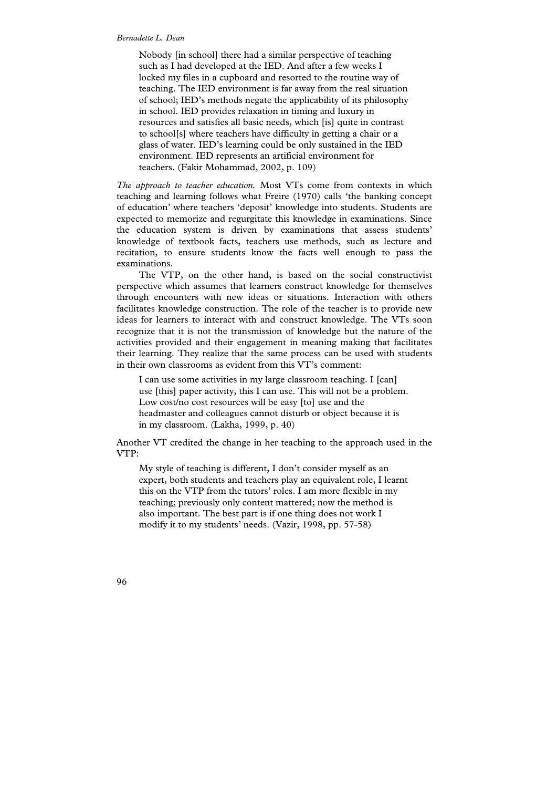Nobody [in school] there had a similar perspective of teaching such as I had developed at the IED. And after a few weeks I locked my files in a cupboard and resorted to the routine way of teaching. The IED environment is far away from the real situation of school; IED's methods negate the applicability of its philosophy in school. IED provides relaxation in timing and luxury in resources and satisfies all basic needs, which [is] quite in contrast to school[s] where teachers have difficulty in getting a chair or a glass of water. IED's learning could be only sustained in the IED environment. IED represents an artificial environment for teachers. (Fakir Mohammad, 2002, p. 109)

*The approach to teacher education.* Most VTs come from contexts in which teaching and learning follows what Freire (1970) calls 'the banking concept of education' where teachers 'deposit' knowledge into students. Students are expected to memorize and regurgitate this knowledge in examinations. Since the education system is driven by examinations that assess students' knowledge of textbook facts, teachers use methods, such as lecture and recitation, to ensure students know the facts well enough to pass the examinations.

The VTP, on the other hand, is based on the social constructivist perspective which assumes that learners construct knowledge for themselves through encounters with new ideas or situations. Interaction with others facilitates knowledge construction. The role of the teacher is to provide new ideas for learners to interact with and construct knowledge. The VTs soon recognize that it is not the transmission of knowledge but the nature of the activities provided and their engagement in meaning making that facilitates their learning. They realize that the same process can be used with students in their own classrooms as evident from this VT's comment:

I can use some activities in my large classroom teaching. I [can] use [this] paper activity, this I can use. This will not be a problem. Low cost/no cost resources will be easy [to] use and the headmaster and colleagues cannot disturb or object because it is in my classroom. (Lakha, 1999, p. 40)

Another VT credited the change in her teaching to the approach used in the VTP:

My style of teaching is different, I don't consider myself as an expert, both students and teachers play an equivalent role, I learnt this on the VTP from the tutors' roles. I am more flexible in my teaching; previously only content mattered; now the method is also important. The best part is if one thing does not work I modify it to my students' needs. (Vazir, 1998, pp. 57-58)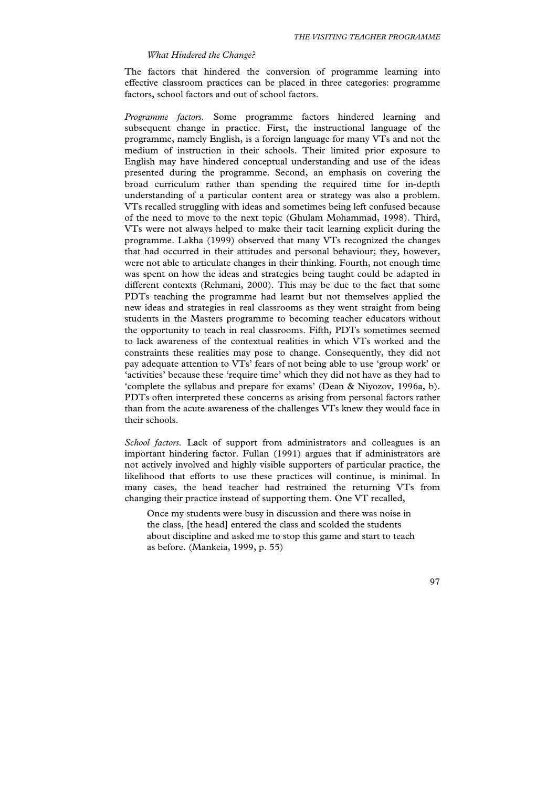#### *What Hindered the Change?*

The factors that hindered the conversion of programme learning into effective classroom practices can be placed in three categories: programme factors, school factors and out of school factors.

*Programme factors.* Some programme factors hindered learning and subsequent change in practice. First, the instructional language of the programme, namely English, is a foreign language for many VTs and not the medium of instruction in their schools. Their limited prior exposure to English may have hindered conceptual understanding and use of the ideas presented during the programme. Second, an emphasis on covering the broad curriculum rather than spending the required time for in-depth understanding of a particular content area or strategy was also a problem. VTs recalled struggling with ideas and sometimes being left confused because of the need to move to the next topic (Ghulam Mohammad, 1998). Third, VTs were not always helped to make their tacit learning explicit during the programme. Lakha (1999) observed that many VTs recognized the changes that had occurred in their attitudes and personal behaviour; they, however, were not able to articulate changes in their thinking. Fourth, not enough time was spent on how the ideas and strategies being taught could be adapted in different contexts (Rehmani, 2000). This may be due to the fact that some PDTs teaching the programme had learnt but not themselves applied the new ideas and strategies in real classrooms as they went straight from being students in the Masters programme to becoming teacher educators without the opportunity to teach in real classrooms. Fifth, PDTs sometimes seemed to lack awareness of the contextual realities in which VTs worked and the constraints these realities may pose to change. Consequently, they did not pay adequate attention to VTs' fears of not being able to use 'group work' or 'activities' because these 'require time' which they did not have as they had to 'complete the syllabus and prepare for exams' (Dean & Niyozov, 1996a, b). PDTs often interpreted these concerns as arising from personal factors rather than from the acute awareness of the challenges VTs knew they would face in their schools.

*School factors.* Lack of support from administrators and colleagues is an important hindering factor. Fullan (1991) argues that if administrators are not actively involved and highly visible supporters of particular practice, the likelihood that efforts to use these practices will continue, is minimal. In many cases, the head teacher had restrained the returning VTs from changing their practice instead of supporting them. One VT recalled,

Once my students were busy in discussion and there was noise in the class, [the head] entered the class and scolded the students about discipline and asked me to stop this game and start to teach as before. (Mankeia, 1999, p. 55)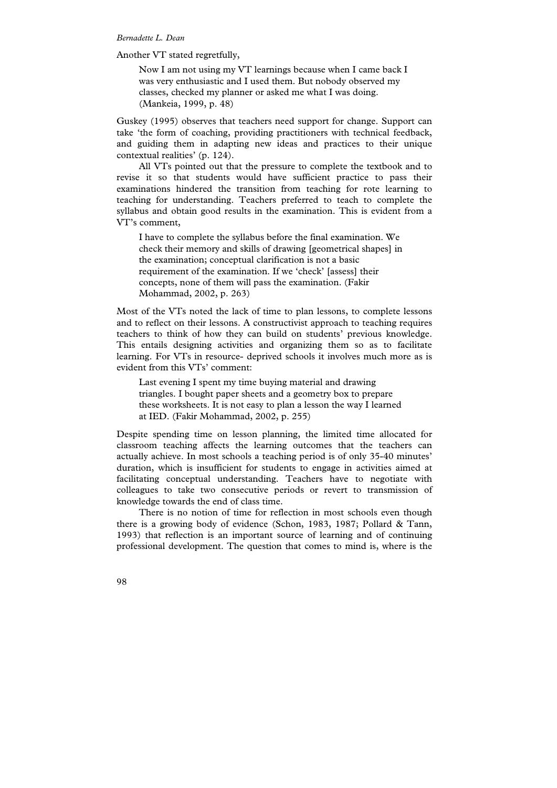Another VT stated regretfully,

Now I am not using my VT learnings because when I came back I was very enthusiastic and I used them. But nobody observed my classes, checked my planner or asked me what I was doing. (Mankeia, 1999, p. 48)

Guskey (1995) observes that teachers need support for change. Support can take 'the form of coaching, providing practitioners with technical feedback, and guiding them in adapting new ideas and practices to their unique contextual realities' (p. 124).

All VTs pointed out that the pressure to complete the textbook and to revise it so that students would have sufficient practice to pass their examinations hindered the transition from teaching for rote learning to teaching for understanding. Teachers preferred to teach to complete the syllabus and obtain good results in the examination. This is evident from a VT's comment,

I have to complete the syllabus before the final examination. We check their memory and skills of drawing [geometrical shapes] in the examination; conceptual clarification is not a basic requirement of the examination. If we 'check' [assess] their concepts, none of them will pass the examination. (Fakir Mohammad, 2002, p. 263)

Most of the VTs noted the lack of time to plan lessons, to complete lessons and to reflect on their lessons. A constructivist approach to teaching requires teachers to think of how they can build on students' previous knowledge. This entails designing activities and organizing them so as to facilitate learning. For VTs in resource- deprived schools it involves much more as is evident from this VTs' comment:

Last evening I spent my time buying material and drawing triangles. I bought paper sheets and a geometry box to prepare these worksheets. It is not easy to plan a lesson the way I learned at IED. (Fakir Mohammad, 2002, p. 255)

Despite spending time on lesson planning, the limited time allocated for classroom teaching affects the learning outcomes that the teachers can actually achieve. In most schools a teaching period is of only 35-40 minutes' duration, which is insufficient for students to engage in activities aimed at facilitating conceptual understanding. Teachers have to negotiate with colleagues to take two consecutive periods or revert to transmission of knowledge towards the end of class time.

There is no notion of time for reflection in most schools even though there is a growing body of evidence (Schon, 1983, 1987; Pollard & Tann, 1993) that reflection is an important source of learning and of continuing professional development. The question that comes to mind is, where is the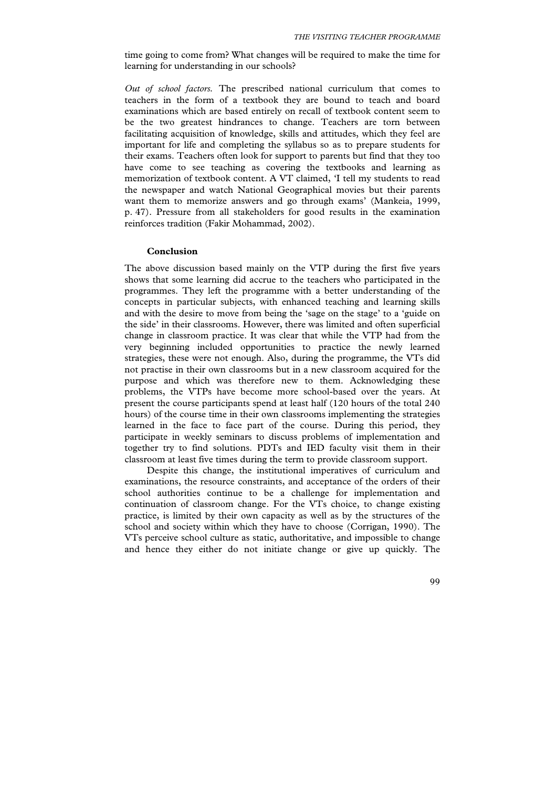time going to come from? What changes will be required to make the time for learning for understanding in our schools?

*Out of school factors.* The prescribed national curriculum that comes to teachers in the form of a textbook they are bound to teach and board examinations which are based entirely on recall of textbook content seem to be the two greatest hindrances to change. Teachers are torn between facilitating acquisition of knowledge, skills and attitudes, which they feel are important for life and completing the syllabus so as to prepare students for their exams. Teachers often look for support to parents but find that they too have come to see teaching as covering the textbooks and learning as memorization of textbook content. A VT claimed, 'I tell my students to read the newspaper and watch National Geographical movies but their parents want them to memorize answers and go through exams' (Mankeia, 1999, p. 47). Pressure from all stakeholders for good results in the examination reinforces tradition (Fakir Mohammad, 2002).

#### **Conclusion**

The above discussion based mainly on the VTP during the first five years shows that some learning did accrue to the teachers who participated in the programmes. They left the programme with a better understanding of the concepts in particular subjects, with enhanced teaching and learning skills and with the desire to move from being the 'sage on the stage' to a 'guide on the side' in their classrooms. However, there was limited and often superficial change in classroom practice. It was clear that while the VTP had from the very beginning included opportunities to practice the newly learned strategies, these were not enough. Also, during the programme, the VTs did not practise in their own classrooms but in a new classroom acquired for the purpose and which was therefore new to them. Acknowledging these problems, the VTPs have become more school-based over the years. At present the course participants spend at least half (120 hours of the total 240 hours) of the course time in their own classrooms implementing the strategies learned in the face to face part of the course. During this period, they participate in weekly seminars to discuss problems of implementation and together try to find solutions. PDTs and IED faculty visit them in their classroom at least five times during the term to provide classroom support.

Despite this change, the institutional imperatives of curriculum and examinations, the resource constraints, and acceptance of the orders of their school authorities continue to be a challenge for implementation and continuation of classroom change. For the VTs choice, to change existing practice, is limited by their own capacity as well as by the structures of the school and society within which they have to choose (Corrigan, 1990). The VTs perceive school culture as static, authoritative, and impossible to change and hence they either do not initiate change or give up quickly. The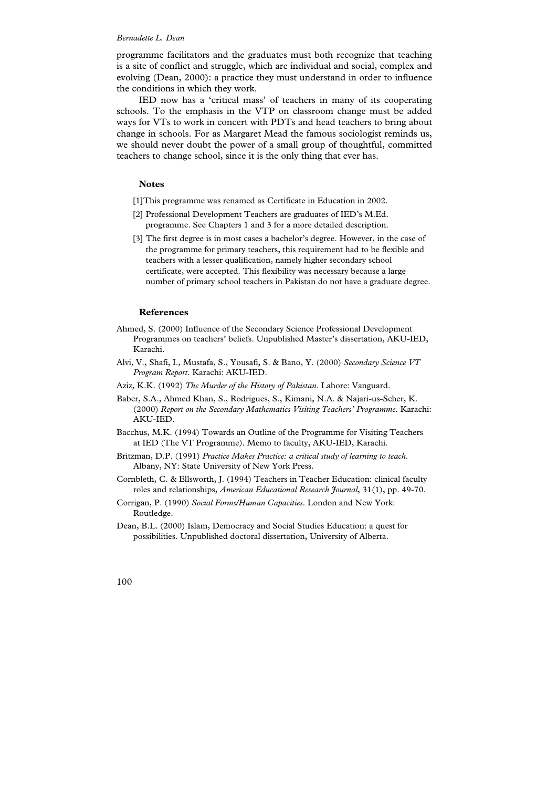programme facilitators and the graduates must both recognize that teaching is a site of conflict and struggle, which are individual and social, complex and evolving (Dean, 2000): a practice they must understand in order to influence the conditions in which they work.

IED now has a 'critical mass' of teachers in many of its cooperating schools. To the emphasis in the VTP on classroom change must be added ways for VTs to work in concert with PDTs and head teachers to bring about change in schools. For as Margaret Mead the famous sociologist reminds us, we should never doubt the power of a small group of thoughtful, committed teachers to change school, since it is the only thing that ever has.

#### **Notes**

- [1]This programme was renamed as Certificate in Education in 2002.
- [2] Professional Development Teachers are graduates of IED's M.Ed. programme. See Chapters 1 and 3 for a more detailed description.
- [3] The first degree is in most cases a bachelor's degree. However, in the case of the programme for primary teachers, this requirement had to be flexible and teachers with a lesser qualification, namely higher secondary school certificate, were accepted. This flexibility was necessary because a large number of primary school teachers in Pakistan do not have a graduate degree.

#### **References**

- Ahmed, S. (2000) Influence of the Secondary Science Professional Development Programmes on teachers' beliefs. Unpublished Master's dissertation, AKU-IED, Karachi.
- Alvi, V., Shafi, I., Mustafa, S., Yousafi, S. & Bano, Y. (2000) *Secondary Science VT Program Report*. Karachi: AKU-IED.
- Aziz, K.K. (1992) *The Murder of the History of Pakistan*. Lahore: Vanguard.
- Baber, S.A., Ahmed Khan, S., Rodrigues, S., Kimani, N.A. & Najari-us-Scher, K. (2000) *Report on the Secondary Mathematics Visiting Teachers' Programme*. Karachi: AKU-IED.
- Bacchus, M.K. (1994) Towards an Outline of the Programme for Visiting Teachers at IED (The VT Programme). Memo to faculty, AKU-IED, Karachi.
- Britzman, D.P. (1991) *Practice Makes Practice: a critical study of learning to teach*. Albany, NY: State University of New York Press.
- Cornbleth, C. & Ellsworth, J. (1994) Teachers in Teacher Education: clinical faculty roles and relationships, *American Educational Research Journal*, 31(1), pp. 49-70.
- Corrigan, P. (1990) *Social Forms/Human Capacities*. London and New York: Routledge.
- Dean, B.L. (2000) Islam, Democracy and Social Studies Education: a quest for possibilities. Unpublished doctoral dissertation, University of Alberta.

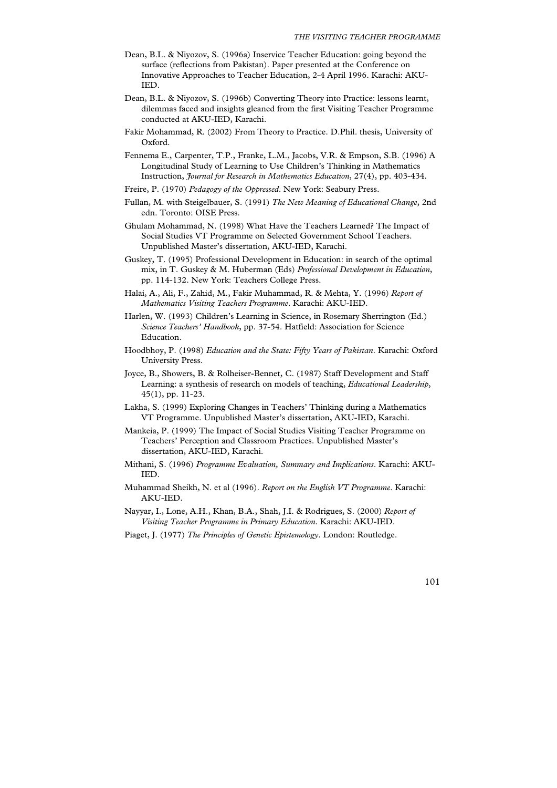- Dean, B.L. & Niyozov, S. (1996a) Inservice Teacher Education: going beyond the surface (reflections from Pakistan). Paper presented at the Conference on Innovative Approaches to Teacher Education, 2-4 April 1996. Karachi: AKU-IED.
- Dean, B.L. & Niyozov, S. (1996b) Converting Theory into Practice: lessons learnt, dilemmas faced and insights gleaned from the first Visiting Teacher Programme conducted at AKU-IED, Karachi.
- Fakir Mohammad, R. (2002) From Theory to Practice. D.Phil. thesis, University of Oxford.
- Fennema E., Carpenter, T.P., Franke, L.M., Jacobs, V.R. & Empson, S.B. (1996) A Longitudinal Study of Learning to Use Children's Thinking in Mathematics Instruction, *Journal for Research in Mathematics Education*, 27(4), pp. 403-434.
- Freire, P. (1970) *Pedagogy of the Oppressed*. New York: Seabury Press.
- Fullan, M. with Steigelbauer, S. (1991) *The New Meaning of Educational Change*, 2nd edn. Toronto: OISE Press.
- Ghulam Mohammad, N. (1998) What Have the Teachers Learned? The Impact of Social Studies VT Programme on Selected Government School Teachers. Unpublished Master's dissertation, AKU-IED, Karachi.
- Guskey, T. (1995) Professional Development in Education: in search of the optimal mix, in T. Guskey & M. Huberman (Eds) *Professional Development in Education*, pp. 114-132. New York: Teachers College Press.
- Halai, A., Ali, F., Zahid, M., Fakir Muhammad, R. & Mehta, Y. (1996) *Report of Mathematics Visiting Teachers Programme*. Karachi: AKU-IED.
- Harlen, W. (1993) Children's Learning in Science, in Rosemary Sherrington (Ed.) *Science Teachers' Handbook*, pp. 37-54. Hatfield: Association for Science Education.
- Hoodbhoy, P. (1998) *Education and the State: Fifty Years of Pakistan*. Karachi: Oxford University Press.
- Joyce, B., Showers, B. & Rolheiser-Bennet, C. (1987) Staff Development and Staff Learning: a synthesis of research on models of teaching, *Educational Leadership*, 45(1), pp. 11-23.
- Lakha, S. (1999) Exploring Changes in Teachers' Thinking during a Mathematics VT Programme. Unpublished Master's dissertation, AKU-IED, Karachi.
- Mankeia, P. (1999) The Impact of Social Studies Visiting Teacher Programme on Teachers' Perception and Classroom Practices. Unpublished Master's dissertation, AKU-IED, Karachi.
- Mithani, S. (1996) *Programme Evaluation, Summary and Implications*. Karachi: AKU-IED.
- Muhammad Sheikh, N. et al (1996). *Report on the English VT Programme*. Karachi: AKU-IED.
- Nayyar, I., Lone, A.H., Khan, B.A., Shah, J.I. & Rodrigues, S. (2000) *Report of Visiting Teacher Programme in Primary Education*. Karachi: AKU-IED.
- Piaget, J. (1977) *The Principles of Genetic Epistemology*. London: Routledge.